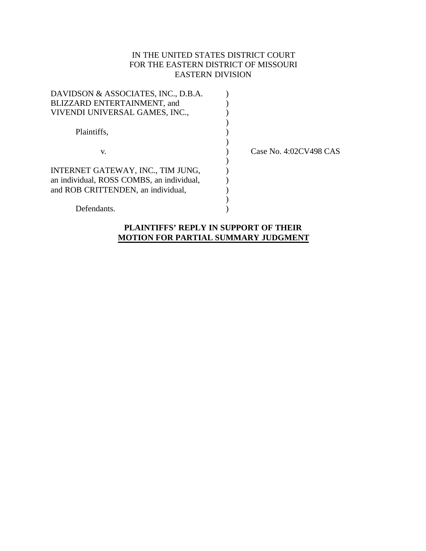## IN THE UNITED STATES DISTRICT COURT FOR THE EASTERN DISTRICT OF MISSOURI EASTERN DIVISION

| Case No. 4:02CV498 CAS |
|------------------------|
|                        |
|                        |
|                        |
|                        |
|                        |
|                        |
|                        |

## **PLAINTIFFS' REPLY IN SUPPORT OF THEIR MOTION FOR PARTIAL SUMMARY JUDGMENT**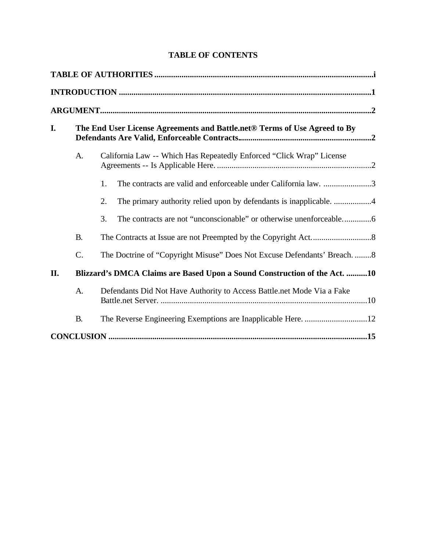# **TABLE OF CONTENTS**

| I.  |                 | The End User License Agreements and Battle.net <sup>®</sup> Terms of Use Agreed to By |  |  |  |
|-----|-----------------|---------------------------------------------------------------------------------------|--|--|--|
|     | A.              | California Law -- Which Has Repeatedly Enforced "Click Wrap" License                  |  |  |  |
|     |                 | The contracts are valid and enforceable under California law. 3<br>1.                 |  |  |  |
|     |                 | 2.                                                                                    |  |  |  |
|     |                 | 3.                                                                                    |  |  |  |
|     | <b>B.</b>       |                                                                                       |  |  |  |
|     | $\mathcal{C}$ . | The Doctrine of "Copyright Misuse" Does Not Excuse Defendants' Breach. 8              |  |  |  |
| II. |                 | Blizzard's DMCA Claims are Based Upon a Sound Construction of the Act. 10             |  |  |  |
|     | A.              | Defendants Did Not Have Authority to Access Battle.net Mode Via a Fake                |  |  |  |
|     | <b>B.</b>       |                                                                                       |  |  |  |
|     |                 |                                                                                       |  |  |  |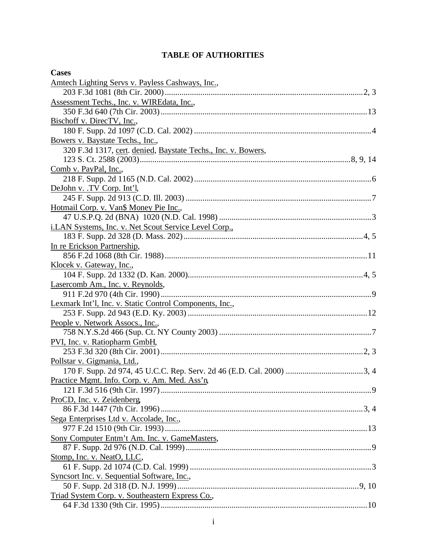# **TABLE OF AUTHORITIES**

| <b>Cases</b>                                                  |
|---------------------------------------------------------------|
| Amtech Lighting Servs v. Payless Cashways, Inc.,              |
|                                                               |
| Assessment Techs., Inc. v. WIREdata, Inc.,                    |
|                                                               |
| Bischoff v. DirecTV, Inc.,                                    |
|                                                               |
| Bowers v. Baystate Techs., Inc.,                              |
| 320 F.3d 1317, cert. denied, Baystate Techs., Inc. v. Bowers, |
|                                                               |
| Comb v. PayPal, Inc.,                                         |
|                                                               |
| DeJohn v. .TV Corp. Int'l,                                    |
|                                                               |
| Hotmail Corp. v. Van\$ Money Pie Inc.,                        |
|                                                               |
| i.LAN Systems, Inc. v. Net Scout Service Level Corp.,         |
|                                                               |
| In re Erickson Partnership,                                   |
| Klocek v. Gateway, Inc.,                                      |
|                                                               |
| Lasercomb Am., Inc. v. Reynolds,                              |
|                                                               |
| Lexmark Int'l, Inc. v. Static Control Components, Inc.,       |
|                                                               |
| People v. Network Assocs., Inc.,                              |
|                                                               |
| PVI, Inc. v. Ratiopharm GmbH,                                 |
|                                                               |
| Pollstar v. Gigmania, Ltd.,                                   |
|                                                               |
| Practice Mgmt. Info. Corp. v. Am. Med. Ass'n,                 |
|                                                               |
| ProCD, Inc. v. Zeidenberg,                                    |
|                                                               |
| Sega Enterprises Ltd v. Accolade, Inc.,                       |
|                                                               |
| Sony Computer Entm't Am. Inc. v. GameMasters,                 |
|                                                               |
| Stomp, Inc. v. NeatO, LLC,                                    |
|                                                               |
| Syncsort Inc. v. Sequential Software, Inc.,                   |
|                                                               |
| Triad System Corp. v. Southeastern Express Co.,               |
|                                                               |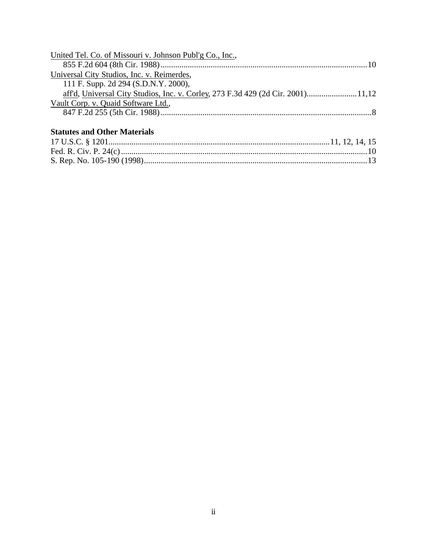| United Tel. Co. of Missouri v. Johnson Publ'g Co., Inc.,                         |  |
|----------------------------------------------------------------------------------|--|
|                                                                                  |  |
| Universal City Studios, Inc. v. Reimerdes,                                       |  |
| 111 F. Supp. 2d 294 (S.D.N.Y. 2000),                                             |  |
| aff'd, Universal City Studios, Inc. v. Corley, 273 F.3d 429 (2d Cir. 2001) 11,12 |  |
| Vault Corp. v. Quaid Software Ltd.,                                              |  |
|                                                                                  |  |
|                                                                                  |  |

# **Statutes and Other Materials**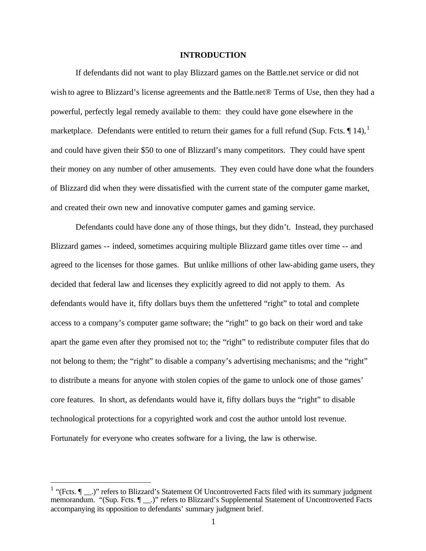#### **INTRODUCTION**

If defendants did not want to play Blizzard games on the Battle.net service or did not wish to agree to Blizzard's license agreements and the Battle.net® Terms of Use, then they had a powerful, perfectly legal remedy available to them: they could have gone elsewhere in the marketplace. Defendants were entitled to return their games for a full refund (Sup. Fcts.  $\P$  14), <sup>1</sup> and could have given their \$50 to one of Blizzard's many competitors. They could have spent their money on any number of other amusements. They even could have done what the founders of Blizzard did when they were dissatisfied with the current state of the computer game market, and created their own new and innovative computer games and gaming service.

Defendants could have done any of those things, but they didn't. Instead, they purchased Blizzard games -- indeed, sometimes acquiring multiple Blizzard game titles over time -- and agreed to the licenses for those games. But unlike millions of other law-abiding game users, they decided that federal law and licenses they explicitly agreed to did not apply to them. As defendants would have it, fifty dollars buys them the unfettered "right" to total and complete access to a company's computer game software; the "right" to go back on their word and take apart the game even after they promised not to; the "right" to redistribute computer files that do not belong to them; the "right" to disable a company's advertising mechanisms; and the "right" to distribute a means for anyone with stolen copies of the game to unlock one of those games' core features. In short, as defendants would have it, fifty dollars buys the "right" to disable technological protections for a copyrighted work and cost the author untold lost revenue. Fortunately for everyone who creates software for a living, the law is otherwise.

<sup>&</sup>lt;sup>1</sup> "(Fcts.  $\P$  \_\_.)" refers to Blizzard's Statement Of Uncontroverted Facts filed with its summary judgment memorandum. "(Sup. Fcts.  $\P$  \_\_.)" refers to Blizzard's Supplemental Statement of Uncontroverted Facts accompanying its opposition to defendants' summary judgment brief.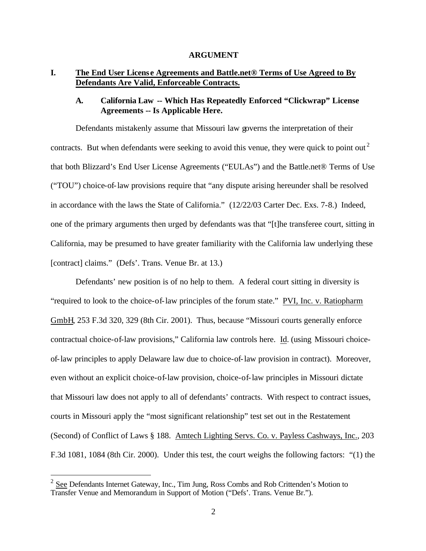#### **ARGUMENT**

## **I. The End User License Agreements and Battle.net® Terms of Use Agreed to By Defendants Are Valid, Enforceable Contracts.**

## **A. California Law -- Which Has Repeatedly Enforced "Clickwrap" License Agreements -- Is Applicable Here.**

Defendants mistakenly assume that Missouri law governs the interpretation of their contracts. But when defendants were seeking to avoid this venue, they were quick to point out<sup>2</sup> that both Blizzard's End User License Agreements ("EULAs") and the Battle.net® Terms of Use ("TOU") choice-of-law provisions require that "any dispute arising hereunder shall be resolved in accordance with the laws the State of California." (12/22/03 Carter Dec. Exs. 7-8.) Indeed, one of the primary arguments then urged by defendants was that "[t]he transferee court, sitting in California, may be presumed to have greater familiarity with the California law underlying these [contract] claims." (Defs'. Trans. Venue Br. at 13.)

Defendants' new position is of no help to them. A federal court sitting in diversity is "required to look to the choice-of-law principles of the forum state." PVI, Inc. v. Ratiopharm GmbH, 253 F.3d 320, 329 (8th Cir. 2001). Thus, because "Missouri courts generally enforce contractual choice-of-law provisions," California law controls here. Id. (using Missouri choiceof-law principles to apply Delaware law due to choice-of-law provision in contract). Moreover, even without an explicit choice-of-law provision, choice-of-law principles in Missouri dictate that Missouri law does not apply to all of defendants' contracts. With respect to contract issues, courts in Missouri apply the "most significant relationship" test set out in the Restatement (Second) of Conflict of Laws § 188. Amtech Lighting Servs. Co. v. Payless Cashways, Inc., 203 F.3d 1081, 1084 (8th Cir. 2000). Under this test, the court weighs the following factors: "(1) the

 $2 \text{ See}$  Defendants Internet Gateway, Inc., Tim Jung, Ross Combs and Rob Crittenden's Motion to Transfer Venue and Memorandum in Support of Motion ("Defs'. Trans. Venue Br.").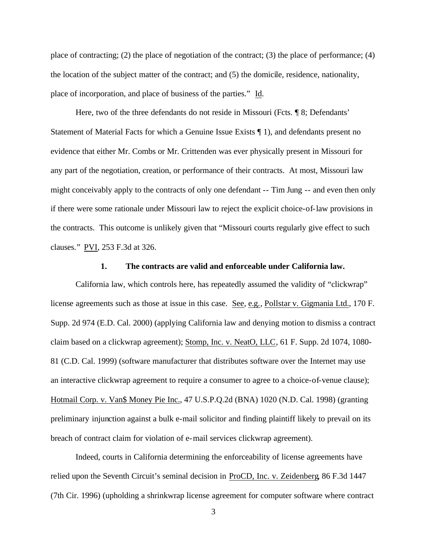place of contracting; (2) the place of negotiation of the contract; (3) the place of performance; (4) the location of the subject matter of the contract; and (5) the domicile, residence, nationality, place of incorporation, and place of business of the parties." Id.

Here, two of the three defendants do not reside in Missouri (Fcts. ¶ 8; Defendants' Statement of Material Facts for which a Genuine Issue Exists ¶ 1), and defendants present no evidence that either Mr. Combs or Mr. Crittenden was ever physically present in Missouri for any part of the negotiation, creation, or performance of their contracts. At most, Missouri law might conceivably apply to the contracts of only one defendant -- Tim Jung -- and even then only if there were some rationale under Missouri law to reject the explicit choice-of-law provisions in the contracts. This outcome is unlikely given that "Missouri courts regularly give effect to such clauses." PVI, 253 F.3d at 326.

#### **1. The contracts are valid and enforceable under California law.**

California law, which controls here, has repeatedly assumed the validity of "clickwrap" license agreements such as those at issue in this case. See, e.g., Pollstar v. Gigmania Ltd., 170 F. Supp. 2d 974 (E.D. Cal. 2000) (applying California law and denying motion to dismiss a contract claim based on a clickwrap agreement); Stomp, Inc. v. NeatO, LLC, 61 F. Supp. 2d 1074, 1080- 81 (C.D. Cal. 1999) (software manufacturer that distributes software over the Internet may use an interactive clickwrap agreement to require a consumer to agree to a choice-of-venue clause); Hotmail Corp. v. Van\$ Money Pie Inc., 47 U.S.P.Q.2d (BNA) 1020 (N.D. Cal. 1998) (granting preliminary injunction against a bulk e-mail solicitor and finding plaintiff likely to prevail on its breach of contract claim for violation of e-mail services clickwrap agreement).

Indeed, courts in California determining the enforceability of license agreements have relied upon the Seventh Circuit's seminal decision in ProCD, Inc. v. Zeidenberg, 86 F.3d 1447 (7th Cir. 1996) (upholding a shrinkwrap license agreement for computer software where contract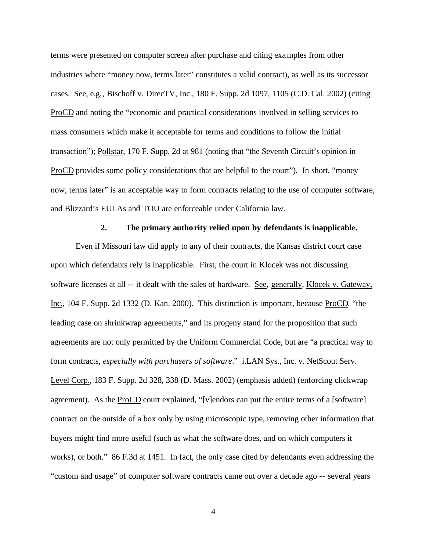terms were presented on computer screen after purchase and citing examples from other industries where "money now, terms later" constitutes a valid contract), as well as its successor cases. See, e.g., Bischoff v. DirecTV, Inc., 180 F. Supp. 2d 1097, 1105 (C.D. Cal. 2002) (citing ProCD and noting the "economic and practical considerations involved in selling services to mass consumers which make it acceptable for terms and conditions to follow the initial transaction"); Pollstar, 170 F. Supp. 2d at 981 (noting that "the Seventh Circuit's opinion in ProCD provides some policy considerations that are helpful to the court"). In short, "money now, terms later" is an acceptable way to form contracts relating to the use of computer software, and Blizzard's EULAs and TOU are enforceable under California law.

### **2. The primary authority relied upon by defendants is inapplicable.**

Even if Missouri law did apply to any of their contracts, the Kansas district court case upon which defendants rely is inapplicable. First, the court in Klocek was not discussing software licenses at all -- it dealt with the sales of hardware. See, generally, Klocek v. Gateway, Inc., 104 F. Supp. 2d 1332 (D. Kan. 2000). This distinction is important, because ProCD, "the leading case on shrinkwrap agreements," and its progeny stand for the proposition that such agreements are not only permitted by the Uniform Commercial Code, but are "a practical way to form contracts, *especially with purchasers of software*." i.LAN Sys., Inc. v. NetScout Serv. Level Corp., 183 F. Supp. 2d 328, 338 (D. Mass. 2002) (emphasis added) (enforcing clickwrap agreement). As the ProCD court explained, "[v]endors can put the entire terms of a [software] contract on the outside of a box only by using microscopic type, removing other information that buyers might find more useful (such as what the software does, and on which computers it works), or both." 86 F.3d at 1451. In fact, the only case cited by defendants even addressing the "custom and usage" of computer software contracts came out over a decade ago -- several years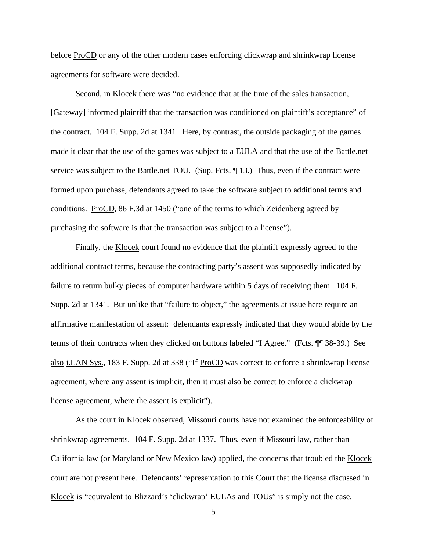before ProCD or any of the other modern cases enforcing clickwrap and shrinkwrap license agreements for software were decided.

Second, in Klocek there was "no evidence that at the time of the sales transaction, [Gateway] informed plaintiff that the transaction was conditioned on plaintiff's acceptance" of the contract. 104 F. Supp. 2d at 1341. Here, by contrast, the outside packaging of the games made it clear that the use of the games was subject to a EULA and that the use of the Battle.net service was subject to the Battle.net TOU. (Sup. Fcts. ¶ 13.) Thus, even if the contract were formed upon purchase, defendants agreed to take the software subject to additional terms and conditions. ProCD, 86 F.3d at 1450 ("one of the terms to which Zeidenberg agreed by purchasing the software is that the transaction was subject to a license").

Finally, the Klocek court found no evidence that the plaintiff expressly agreed to the additional contract terms, because the contracting party's assent was supposedly indicated by failure to return bulky pieces of computer hardware within 5 days of receiving them. 104 F. Supp. 2d at 1341. But unlike that "failure to object," the agreements at issue here require an affirmative manifestation of assent: defendants expressly indicated that they would abide by the terms of their contracts when they clicked on buttons labeled "I Agree." (Fcts. ¶¶ 38-39.) See also i.LAN Sys., 183 F. Supp. 2d at 338 ("If ProCD was correct to enforce a shrinkwrap license agreement, where any assent is implicit, then it must also be correct to enforce a clickwrap license agreement, where the assent is explicit").

As the court in Klocek observed, Missouri courts have not examined the enforceability of shrinkwrap agreements. 104 F. Supp. 2d at 1337. Thus, even if Missouri law, rather than California law (or Maryland or New Mexico law) applied, the concerns that troubled the Klocek court are not present here. Defendants' representation to this Court that the license discussed in Klocek is "equivalent to Blizzard's 'clickwrap' EULAs and TOUs" is simply not the case.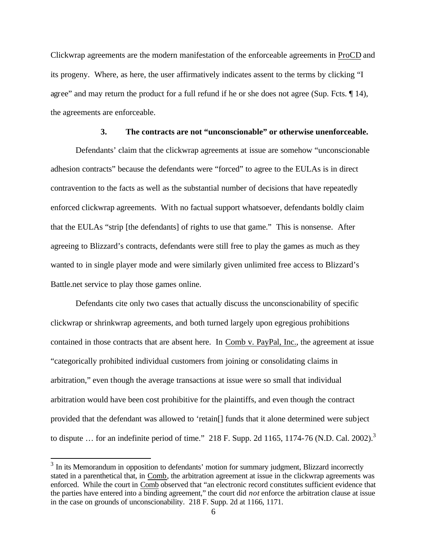Clickwrap agreements are the modern manifestation of the enforceable agreements in ProCD and its progeny. Where, as here, the user affirmatively indicates assent to the terms by clicking "I agree" and may return the product for a full refund if he or she does not agree (Sup. Fcts. ¶ 14), the agreements are enforceable.

### **3. The contracts are not "unconscionable" or otherwise unenforceable.**

Defendants' claim that the clickwrap agreements at issue are somehow "unconscionable adhesion contracts" because the defendants were "forced" to agree to the EULAs is in direct contravention to the facts as well as the substantial number of decisions that have repeatedly enforced clickwrap agreements. With no factual support whatsoever, defendants boldly claim that the EULAs "strip [the defendants] of rights to use that game." This is nonsense. After agreeing to Blizzard's contracts, defendants were still free to play the games as much as they wanted to in single player mode and were similarly given unlimited free access to Blizzard's Battle.net service to play those games online.

Defendants cite only two cases that actually discuss the unconscionability of specific clickwrap or shrinkwrap agreements, and both turned largely upon egregious prohibitions contained in those contracts that are absent here. In Comb v. PayPal, Inc., the agreement at issue "categorically prohibited individual customers from joining or consolidating claims in arbitration," even though the average transactions at issue were so small that individual arbitration would have been cost prohibitive for the plaintiffs, and even though the contract provided that the defendant was allowed to 'retain[] funds that it alone determined were subject to dispute ... for an indefinite period of time." 218 F. Supp. 2d 1165, 1174-76 (N.D. Cal. 2002).<sup>3</sup>

 $3$  In its Memorandum in opposition to defendants' motion for summary judgment, Blizzard incorrectly stated in a parenthetical that, in Comb, the arbitration agreement at issue in the clickwrap agreements was enforced. While the court in Comb observed that "an electronic record constitutes sufficient evidence that the parties have entered into a binding agreement," the court did *not* enforce the arbitration clause at issue in the case on grounds of unconscionability. 218 F. Supp. 2d at 1166, 1171.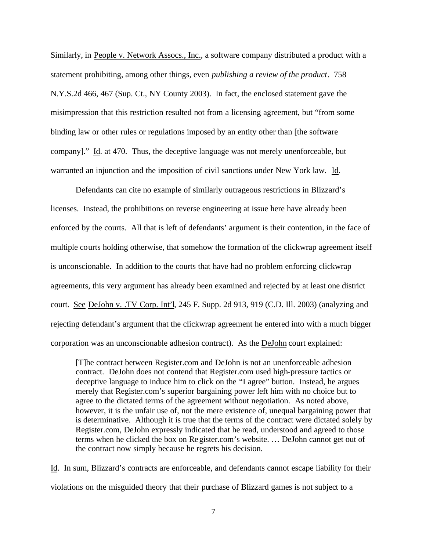Similarly, in People v. Network Assocs., Inc., a software company distributed a product with a statement prohibiting, among other things, even *publishing a review of the product*. 758 N.Y.S.2d 466, 467 (Sup. Ct., NY County 2003). In fact, the enclosed statement gave the misimpression that this restriction resulted not from a licensing agreement, but "from some binding law or other rules or regulations imposed by an entity other than [the software company]." Id. at 470. Thus, the deceptive language was not merely unenforceable, but warranted an injunction and the imposition of civil sanctions under New York law. Id.

Defendants can cite no example of similarly outrageous restrictions in Blizzard's licenses. Instead, the prohibitions on reverse engineering at issue here have already been enforced by the courts. All that is left of defendants' argument is their contention, in the face of multiple courts holding otherwise, that somehow the formation of the clickwrap agreement itself is unconscionable. In addition to the courts that have had no problem enforcing clickwrap agreements, this very argument has already been examined and rejected by at least one district court. See DeJohn v. .TV Corp. Int'l, 245 F. Supp. 2d 913, 919 (C.D. Ill. 2003) (analyzing and rejecting defendant's argument that the clickwrap agreement he entered into with a much bigger corporation was an unconscionable adhesion contract). As the DeJohn court explained:

[T]he contract between Register.com and DeJohn is not an unenforceable adhesion contract. DeJohn does not contend that Register.com used high-pressure tactics or deceptive language to induce him to click on the "I agree" button. Instead, he argues merely that Register.com's superior bargaining power left him with no choice but to agree to the dictated terms of the agreement without negotiation. As noted above, however, it is the unfair use of, not the mere existence of, unequal bargaining power that is determinative. Although it is true that the terms of the contract were dictated solely by Register.com, DeJohn expressly indicated that he read, understood and agreed to those terms when he clicked the box on Register.com's website. … DeJohn cannot get out of the contract now simply because he regrets his decision.

Id. In sum, Blizzard's contracts are enforceable, and defendants cannot escape liability for their violations on the misguided theory that their purchase of Blizzard games is not subject to a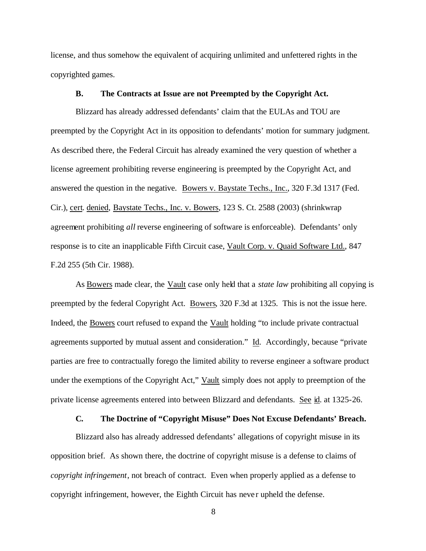license, and thus somehow the equivalent of acquiring unlimited and unfettered rights in the copyrighted games.

#### **B. The Contracts at Issue are not Preempted by the Copyright Act.**

Blizzard has already addressed defendants' claim that the EULAs and TOU are preempted by the Copyright Act in its opposition to defendants' motion for summary judgment. As described there, the Federal Circuit has already examined the very question of whether a license agreement prohibiting reverse engineering is preempted by the Copyright Act, and answered the question in the negative. Bowers v. Baystate Techs., Inc., 320 F.3d 1317 (Fed. Cir.), cert. denied, Baystate Techs., Inc. v. Bowers, 123 S. Ct. 2588 (2003) (shrinkwrap agreement prohibiting *all* reverse engineering of software is enforceable). Defendants' only response is to cite an inapplicable Fifth Circuit case, Vault Corp. v. Quaid Software Ltd., 847 F.2d 255 (5th Cir. 1988).

As Bowers made clear, the Vault case only held that a *state law* prohibiting all copying is preempted by the federal Copyright Act. Bowers, 320 F.3d at 1325. This is not the issue here. Indeed, the Bowers court refused to expand the Vault holding "to include private contractual agreements supported by mutual assent and consideration." Id. Accordingly, because "private parties are free to contractually forego the limited ability to reverse engineer a software product under the exemptions of the Copyright Act," Vault simply does not apply to preemption of the private license agreements entered into between Blizzard and defendants. See id. at 1325-26.

## **C. The Doctrine of "Copyright Misuse" Does Not Excuse Defendants' Breach.**

Blizzard also has already addressed defendants' allegations of copyright misuse in its opposition brief. As shown there, the doctrine of copyright misuse is a defense to claims of *copyright infringement*, not breach of contract. Even when properly applied as a defense to copyright infringement, however, the Eighth Circuit has neve r upheld the defense.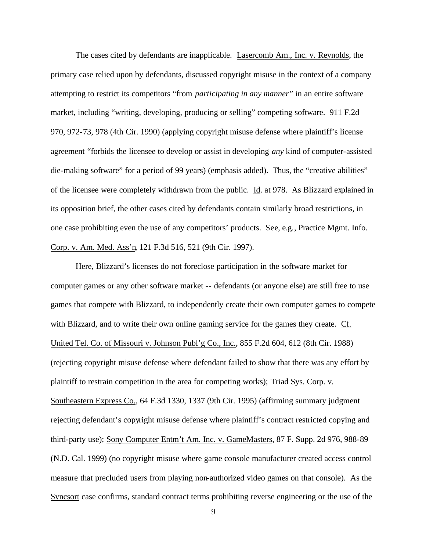The cases cited by defendants are inapplicable. Lasercomb Am., Inc. v. Reynolds, the primary case relied upon by defendants, discussed copyright misuse in the context of a company attempting to restrict its competitors "from *participating in any manner*" in an entire software market, including "writing, developing, producing or selling" competing software. 911 F.2d 970, 972-73, 978 (4th Cir. 1990) (applying copyright misuse defense where plaintiff's license agreement "forbids the licensee to develop or assist in developing *any* kind of computer-assisted die-making software" for a period of 99 years) (emphasis added). Thus, the "creative abilities" of the licensee were completely withdrawn from the public. Id. at 978. As Blizzard explained in its opposition brief, the other cases cited by defendants contain similarly broad restrictions, in one case prohibiting even the use of any competitors' products. See, e.g., Practice Mgmt. Info. Corp. v. Am. Med. Ass'n, 121 F.3d 516, 521 (9th Cir. 1997).

Here, Blizzard's licenses do not foreclose participation in the software market for computer games or any other software market -- defendants (or anyone else) are still free to use games that compete with Blizzard, to independently create their own computer games to compete with Blizzard, and to write their own online gaming service for the games they create. Cf. United Tel. Co. of Missouri v. Johnson Publ'g Co., Inc., 855 F.2d 604, 612 (8th Cir. 1988) (rejecting copyright misuse defense where defendant failed to show that there was any effort by plaintiff to restrain competition in the area for competing works); Triad Sys. Corp. v. Southeastern Express Co., 64 F.3d 1330, 1337 (9th Cir. 1995) (affirming summary judgment rejecting defendant's copyright misuse defense where plaintiff's contract restricted copying and third-party use); Sony Computer Entm't Am. Inc. v. GameMasters, 87 F. Supp. 2d 976, 988-89 (N.D. Cal. 1999) (no copyright misuse where game console manufacturer created access control measure that precluded users from playing non-authorized video games on that console). As the Syncsort case confirms, standard contract terms prohibiting reverse engineering or the use of the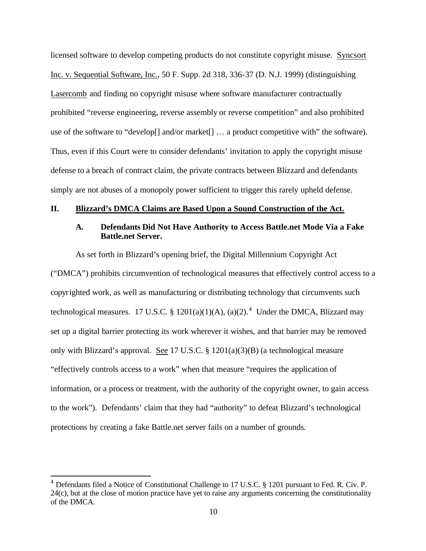licensed software to develop competing products do not constitute copyright misuse. Syncsort Inc. v. Sequential Software, Inc., 50 F. Supp. 2d 318, 336-37 (D. N.J. 1999) (distinguishing Lasercomb and finding no copyright misuse where software manufacturer contractually prohibited "reverse engineering, reverse assembly or reverse competition" and also prohibited use of the software to "develop[] and/or market[] … a product competitive with" the software). Thus, even if this Court were to consider defendants' invitation to apply the copyright misuse defense to a breach of contract claim, the private contracts between Blizzard and defendants simply are not abuses of a monopoly power sufficient to trigger this rarely upheld defense.

### **II. Blizzard's DMCA Claims are Based Upon a Sound Construction of the Act.**

### **A. Defendants Did Not Have Authority to Access Battle.net Mode Via a Fake Battle.net Server.**

As set forth in Blizzard's opening brief, the Digital Millennium Copyright Act ("DMCA") prohibits circumvention of technological measures that effectively control access to a copyrighted work, as well as manufacturing or distributing technology that circumvents such technological measures. 17 U.S.C. § 1201(a)(1)(A), (a)(2).<sup>4</sup> Under the DMCA, Blizzard may set up a digital barrier protecting its work wherever it wishes, and that barrier may be removed only with Blizzard's approval. See 17 U.S.C. § 1201(a)(3)(B) (a technological measure "effectively controls access to a work" when that measure "requires the application of information, or a process or treatment, with the authority of the copyright owner, to gain access to the work"). Defendants' claim that they had "authority" to defeat Blizzard's technological protections by creating a fake Battle.net server fails on a number of grounds.

 $^{4}$  Defendants filed a Notice of Constitutional Challenge to 17 U.S.C. § 1201 pursuant to Fed. R. Civ. P. 24(c), but at the close of motion practice have yet to raise any arguments concerning the constitutionality of the DMCA.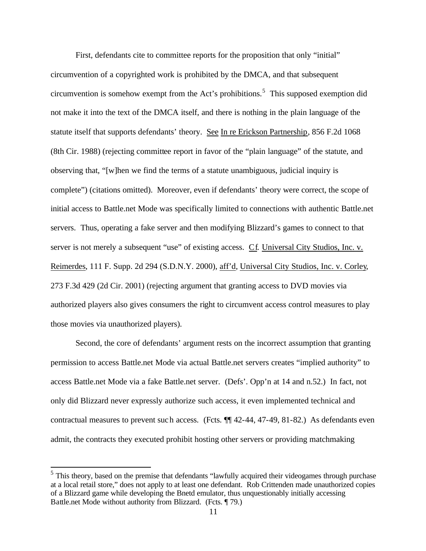First, defendants cite to committee reports for the proposition that only "initial" circumvention of a copyrighted work is prohibited by the DMCA, and that subsequent circumvention is somehow exempt from the Act's prohibitions.<sup>5</sup> This supposed exemption did not make it into the text of the DMCA itself, and there is nothing in the plain language of the statute itself that supports defendants' theory. See In re Erickson Partnership, 856 F.2d 1068 (8th Cir. 1988) (rejecting committee report in favor of the "plain language" of the statute, and observing that, "[w]hen we find the terms of a statute unambiguous, judicial inquiry is complete") (citations omitted). Moreover, even if defendants' theory were correct, the scope of initial access to Battle.net Mode was specifically limited to connections with authentic Battle.net servers. Thus, operating a fake server and then modifying Blizzard's games to connect to that server is not merely a subsequent "use" of existing access. Cf. Universal City Studios, Inc. v. Reimerdes, 111 F. Supp. 2d 294 (S.D.N.Y. 2000), aff'd, Universal City Studios, Inc. v. Corley, 273 F.3d 429 (2d Cir. 2001) (rejecting argument that granting access to DVD movies via authorized players also gives consumers the right to circumvent access control measures to play those movies via unauthorized players).

Second, the core of defendants' argument rests on the incorrect assumption that granting permission to access Battle.net Mode via actual Battle.net servers creates "implied authority" to access Battle.net Mode via a fake Battle.net server. (Defs'. Opp'n at 14 and n.52.) In fact, not only did Blizzard never expressly authorize such access, it even implemented technical and contractual measures to prevent such access. (Fcts. ¶¶ 42-44, 47-49, 81-82.) As defendants even admit, the contracts they executed prohibit hosting other servers or providing matchmaking

<sup>&</sup>lt;sup>5</sup> This theory, based on the premise that defendants "lawfully acquired their videogames through purchase at a local retail store," does not apply to at least one defendant. Rob Crittenden made unauthorized copies of a Blizzard game while developing the Bnetd emulator, thus unquestionably initially accessing Battle.net Mode without authority from Blizzard. (Fcts. ¶ 79.)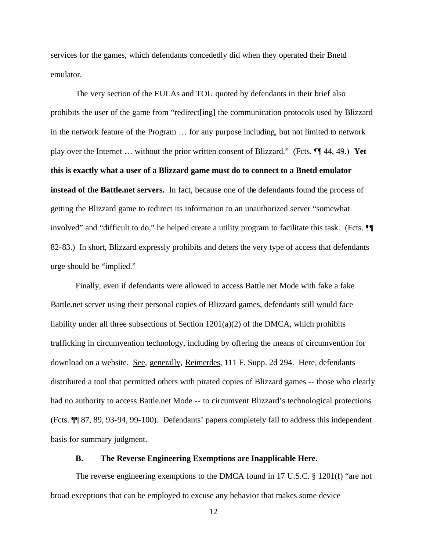services for the games, which defendants concededly did when they operated their Bnetd emulator.

The very section of the EULAs and TOU quoted by defendants in their brief also prohibits the user of the game from "redirect[ing] the communication protocols used by Blizzard in the network feature of the Program … for any purpose including, but not limited to network play over the Internet … without the prior written consent of Blizzard." (Fcts. ¶¶ 44, 49.) **Yet this is exactly what a user of a Blizzard game must do to connect to a Bnetd emulator instead of the Battle.net servers.** In fact, because one of the defendants found the process of getting the Blizzard game to redirect its information to an unauthorized server "somewhat involved" and "difficult to do," he helped create a utility program to facilitate this task. (Fcts. ¶¶ 82-83.) In short, Blizzard expressly prohibits and deters the very type of access that defendants urge should be "implied."

Finally, even if defendants were allowed to access Battle.net Mode with fake a fake Battle.net server using their personal copies of Blizzard games, defendants still would face liability under all three subsections of Section  $1201(a)(2)$  of the DMCA, which prohibits trafficking in circumvention technology, including by offering the means of circumvention for download on a website. See, generally, Reimerdes, 111 F. Supp. 2d 294. Here, defendants distributed a tool that permitted others with pirated copies of Blizzard games -- those who clearly had no authority to access Battle.net Mode -- to circumvent Blizzard's technological protections (Fcts. ¶¶ 87, 89, 93-94, 99-100). Defendants' papers completely fail to address this independent basis for summary judgment.

### **B. The Reverse Engineering Exemptions are Inapplicable Here.**

The reverse engineering exemptions to the DMCA found in 17 U.S.C. § 1201(f) "are not broad exceptions that can be employed to excuse any behavior that makes some device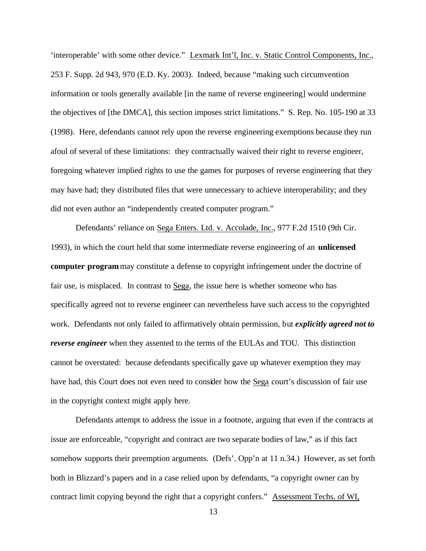'interoperable' with some other device." Lexmark Int'l, Inc. v. Static Control Components, Inc., 253 F. Supp. 2d 943, 970 (E.D. Ky. 2003). Indeed, because "making such circumvention information or tools generally available [in the name of reverse engineering] would undermine the objectives of [the DMCA], this section imposes strict limitations." S. Rep. No. 105-190 at 33 (1998). Here, defendants cannot rely upon the reverse engineering exemptions because they run afoul of several of these limitations: they contractually waived their right to reverse engineer, foregoing whatever implied rights to use the games for purposes of reverse engineering that they may have had; they distributed files that were unnecessary to achieve interoperability; and they did not even author an "independently created computer program."

Defendants' reliance on Sega Enters. Ltd. v. Accolade, Inc., 977 F.2d 1510 (9th Cir. 1993), in which the court held that some intermediate reverse engineering of an **unlicensed computer program** may constitute a defense to copyright infringement under the doctrine of fair use, is misplaced. In contrast to Sega, the issue here is whether someone who has specifically agreed not to reverse engineer can nevertheless have such access to the copyrighted work. Defendants not only failed to affirmatively obtain permission, but *explicitly agreed not to reverse engineer* when they assented to the terms of the EULAs and TOU. This distinction cannot be overstated: because defendants specifically gave up whatever exemption they may have had, this Court does not even need to consider how the Sega court's discussion of fair use in the copyright context might apply here.

Defendants attempt to address the issue in a footnote, arguing that even if the contracts at issue are enforceable, "copyright and contract are two separate bodies of law," as if this fact somehow supports their preemption arguments. (Defs'. Opp'n at 11 n.34.) However, as set forth both in Blizzard's papers and in a case relied upon by defendants, "a copyright owner can by contract limit copying beyond the right that a copyright confers." Assessment Techs. of WI,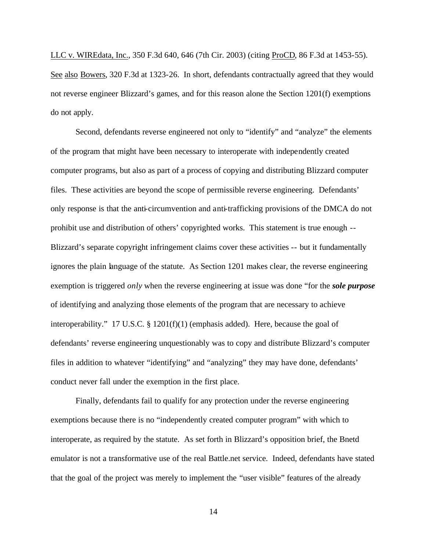LLC v. WIREdata, Inc., 350 F.3d 640, 646 (7th Cir. 2003) (citing ProCD, 86 F.3d at 1453-55). See also Bowers, 320 F.3d at 1323-26. In short, defendants contractually agreed that they would not reverse engineer Blizzard's games, and for this reason alone the Section 1201(f) exemptions do not apply.

Second, defendants reverse engineered not only to "identify" and "analyze" the elements of the program that might have been necessary to interoperate with independently created computer programs, but also as part of a process of copying and distributing Blizzard computer files. These activities are beyond the scope of permissible reverse engineering. Defendants' only response is that the anti-circumvention and anti-trafficking provisions of the DMCA do not prohibit use and distribution of others' copyrighted works. This statement is true enough -- Blizzard's separate copyright infringement claims cover these activities -- but it fundamentally ignores the plain language of the statute. As Section 1201 makes clear, the reverse engineering exemption is triggered *only* when the reverse engineering at issue was done "for the *sole purpose* of identifying and analyzing those elements of the program that are necessary to achieve interoperability." 17 U.S.C. § 1201(f)(1) (emphasis added). Here, because the goal of defendants' reverse engineering unquestionably was to copy and distribute Blizzard's computer files in addition to whatever "identifying" and "analyzing" they may have done, defendants' conduct never fall under the exemption in the first place.

Finally, defendants fail to qualify for any protection under the reverse engineering exemptions because there is no "independently created computer program" with which to interoperate, as required by the statute. As set forth in Blizzard's opposition brief, the Bnetd emulator is not a transformative use of the real Battle.net service. Indeed, defendants have stated that the goal of the project was merely to implement the "user visible" features of the already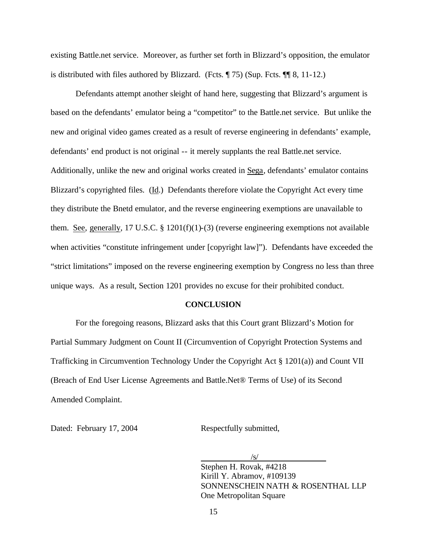existing Battle.net service. Moreover, as further set forth in Blizzard's opposition, the emulator is distributed with files authored by Blizzard. (Fcts.  $\P$  75) (Sup. Fcts.  $\P$  8, 11-12.)

Defendants attempt another sleight of hand here, suggesting that Blizzard's argument is based on the defendants' emulator being a "competitor" to the Battle.net service. But unlike the new and original video games created as a result of reverse engineering in defendants' example, defendants' end product is not original -- it merely supplants the real Battle.net service. Additionally, unlike the new and original works created in Sega, defendants' emulator contains Blizzard's copyrighted files. (Id.) Defendants therefore violate the Copyright Act every time they distribute the Bnetd emulator, and the reverse engineering exemptions are unavailable to them. See, generally, 17 U.S.C. § 1201(f)(1)-(3) (reverse engineering exemptions not available when activities "constitute infringement under [copyright law]"). Defendants have exceeded the "strict limitations" imposed on the reverse engineering exemption by Congress no less than three unique ways. As a result, Section 1201 provides no excuse for their prohibited conduct.

#### **CONCLUSION**

For the foregoing reasons, Blizzard asks that this Court grant Blizzard's Motion for Partial Summary Judgment on Count II (Circumvention of Copyright Protection Systems and Trafficking in Circumvention Technology Under the Copyright Act § 1201(a)) and Count VII (Breach of End User License Agreements and Battle.Net® Terms of Use) of its Second Amended Complaint.

Dated: February 17, 2004 Respectfully submitted,

/s/ Stephen H. Rovak, #4218 Kirill Y. Abramov, #109139 SONNENSCHEIN NATH & ROSENTHAL LLP One Metropolitan Square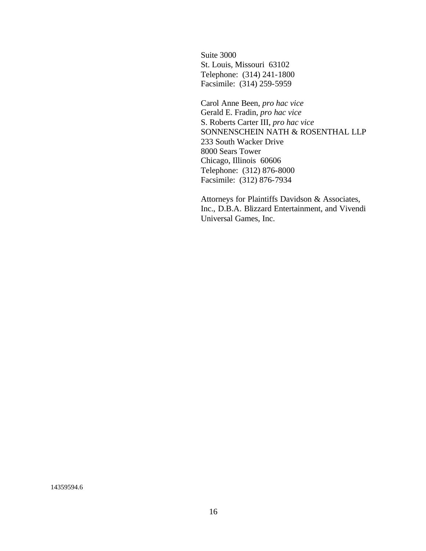Suite 3000 St. Louis, Missouri 63102 Telephone: (314) 241-1800 Facsimile: (314) 259-5959

Carol Anne Been, *pro hac vice* Gerald E. Fradin, *pro hac vice* S. Roberts Carter III, *pro hac vice* SONNENSCHEIN NATH & ROSENTHAL LLP 233 South Wacker Drive 8000 Sears Tower Chicago, Illinois 60606 Telephone: (312) 876-8000 Facsimile: (312) 876-7934

Attorneys for Plaintiffs Davidson & Associates, Inc., D.B.A. Blizzard Entertainment, and Vivendi Universal Games, Inc.